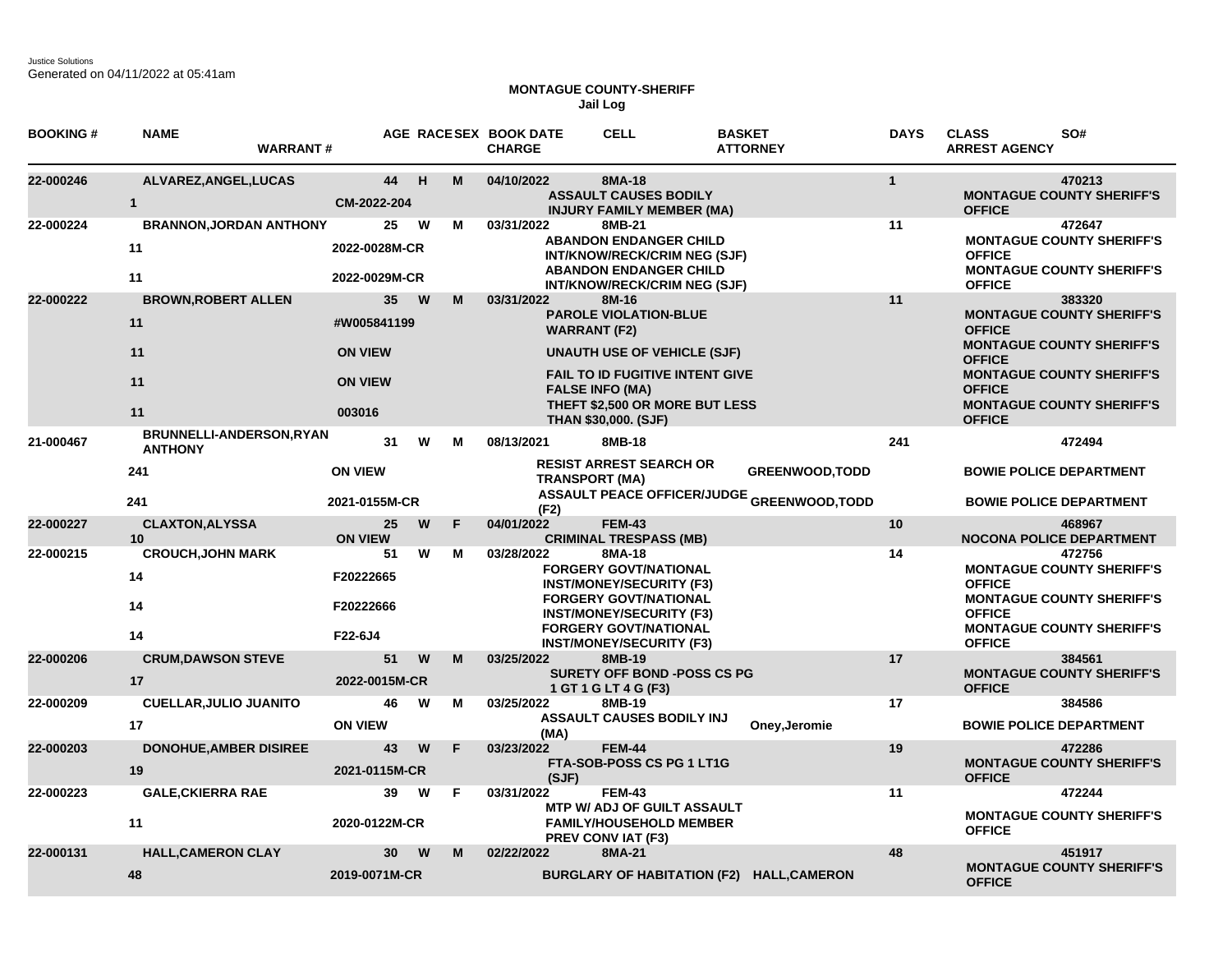## **MONTAGUE COUNTY-SHERIFF Jail Log**

| <b>BOOKING#</b> | <b>NAME</b><br><b>WARRANT#</b>                           |                                                           |    |         | AGE RACESEX BOOK DATE<br><b>CHARGE</b> | <b>CELL</b>                                                                                                                                                                                                                             | <b>BASKET</b><br><b>ATTORNEY</b>                                     | <b>DAYS</b>  | <b>CLASS</b><br>SO#<br><b>ARREST AGENCY</b>                                                                                                                                                                                |
|-----------------|----------------------------------------------------------|-----------------------------------------------------------|----|---------|----------------------------------------|-----------------------------------------------------------------------------------------------------------------------------------------------------------------------------------------------------------------------------------------|----------------------------------------------------------------------|--------------|----------------------------------------------------------------------------------------------------------------------------------------------------------------------------------------------------------------------------|
| 22-000246       | ALVAREZ, ANGEL, LUCAS<br>$\mathbf{1}$                    | CM-2022-204                                               | 44 | H<br>М  | 04/10/2022                             | 8MA-18<br><b>ASSAULT CAUSES BODILY</b><br><b>INJURY FAMILY MEMBER (MA)</b>                                                                                                                                                              |                                                                      | $\mathbf{1}$ | 470213<br><b>MONTAGUE COUNTY SHERIFF'S</b><br><b>OFFICE</b>                                                                                                                                                                |
| 22-000224       | <b>BRANNON, JORDAN ANTHONY</b><br>11<br>11               | 2022-0028M-CR<br>2022-0029M-CR                            | 25 | W<br>M  | 03/31/2022                             | 8MB-21<br><b>ABANDON ENDANGER CHILD</b><br>INT/KNOW/RECK/CRIM NEG (SJF)<br><b>ABANDON ENDANGER CHILD</b><br>INT/KNOW/RECK/CRIM NEG (SJF)                                                                                                |                                                                      | 11           | 472647<br><b>MONTAGUE COUNTY SHERIFF'S</b><br><b>OFFICE</b><br><b>MONTAGUE COUNTY SHERIFF'S</b><br><b>OFFICE</b>                                                                                                           |
| 22-000222       | <b>BROWN, ROBERT ALLEN</b><br>11<br>11<br>11<br>11       | #W005841199<br><b>ON VIEW</b><br><b>ON VIEW</b><br>003016 | 35 | W<br>м  | 03/31/2022                             | 8M-16<br><b>PAROLE VIOLATION-BLUE</b><br><b>WARRANT (F2)</b><br><b>UNAUTH USE OF VEHICLE (SJF)</b><br><b>FAIL TO ID FUGITIVE INTENT GIVE</b><br><b>FALSE INFO (MA)</b><br>THEFT \$2,500 OR MORE BUT LESS<br><b>THAN \$30,000. (SJF)</b> |                                                                      | 11           | 383320<br><b>MONTAGUE COUNTY SHERIFF'S</b><br><b>OFFICE</b><br><b>MONTAGUE COUNTY SHERIFF'S</b><br><b>OFFICE</b><br><b>MONTAGUE COUNTY SHERIFF'S</b><br><b>OFFICE</b><br><b>MONTAGUE COUNTY SHERIFF'S</b><br><b>OFFICE</b> |
| 21-000467       | BRUNNELLI-ANDERSON, RYAN<br><b>ANTHONY</b><br>241<br>241 | <b>ON VIEW</b><br>2021-0155M-CR                           | 31 | W<br>м  | 08/13/2021<br>(F2)                     | 8MB-18<br><b>RESIST ARREST SEARCH OR</b><br><b>TRANSPORT (MA)</b>                                                                                                                                                                       | <b>GREENWOOD, TODD</b><br>ASSAULT PEACE OFFICER/JUDGE GREENWOOD,TODD | 241          | 472494<br><b>BOWIE POLICE DEPARTMENT</b><br><b>BOWIE POLICE DEPARTMENT</b>                                                                                                                                                 |
| 22-000227       | <b>CLAXTON, ALYSSA</b><br>10                             | <b>ON VIEW</b>                                            | 25 | F.<br>W | 04/01/2022                             | <b>FEM-43</b><br><b>CRIMINAL TRESPASS (MB)</b>                                                                                                                                                                                          |                                                                      | 10           | 468967<br><b>NOCONA POLICE DEPARTMENT</b>                                                                                                                                                                                  |
| 22-000215       | <b>CROUCH, JOHN MARK</b><br>14<br>14<br>14               | F20222665<br>F20222666<br>F22-6J4                         | 51 | W<br>м  | 03/28/2022                             | 8MA-18<br><b>FORGERY GOVT/NATIONAL</b><br><b>INST/MONEY/SECURITY (F3)</b><br><b>FORGERY GOVT/NATIONAL</b><br><b>INST/MONEY/SECURITY (F3)</b><br><b>FORGERY GOVT/NATIONAL</b><br><b>INST/MONEY/SECURITY (F3)</b>                         |                                                                      | 14           | 472756<br><b>MONTAGUE COUNTY SHERIFF'S</b><br><b>OFFICE</b><br><b>MONTAGUE COUNTY SHERIFF'S</b><br><b>OFFICE</b><br><b>MONTAGUE COUNTY SHERIFF'S</b><br><b>OFFICE</b>                                                      |
| 22-000206       | <b>CRUM, DAWSON STEVE</b><br>17                          | 2022-0015M-CR                                             | 51 | W<br>M  | 03/25/2022                             | 8MB-19<br><b>SURETY OFF BOND -POSS CS PG</b><br>1 GT 1 G LT 4 G (F3)                                                                                                                                                                    |                                                                      | 17           | 384561<br><b>MONTAGUE COUNTY SHERIFF'S</b><br><b>OFFICE</b>                                                                                                                                                                |
| 22-000209       | <b>CUELLAR, JULIO JUANITO</b><br>17                      | <b>ON VIEW</b>                                            | 46 | M<br>W  | 03/25/2022<br>(MA)                     | 8MB-19<br><b>ASSAULT CAUSES BODILY INJ</b>                                                                                                                                                                                              | Oney, Jeromie                                                        | 17           | 384586<br><b>BOWIE POLICE DEPARTMENT</b>                                                                                                                                                                                   |
| 22-000203       | <b>DONOHUE, AMBER DISIREE</b><br>19                      | 2021-0115M-CR                                             | 43 | W<br>F  | 03/23/2022<br>(SJF)                    | <b>FEM-44</b><br>FTA-SOB-POSS CS PG 1 LT1G                                                                                                                                                                                              |                                                                      | 19           | 472286<br><b>MONTAGUE COUNTY SHERIFF'S</b><br><b>OFFICE</b>                                                                                                                                                                |
| 22-000223       | <b>GALE, CKIERRA RAE</b><br>11                           | 2020-0122M-CR                                             | 39 | W<br>F  | 03/31/2022                             | <b>FEM-43</b><br><b>MTP W/ ADJ OF GUILT ASSAULT</b><br><b>FAMILY/HOUSEHOLD MEMBER</b><br><b>PREV CONVIAT (F3)</b>                                                                                                                       |                                                                      | 11           | 472244<br><b>MONTAGUE COUNTY SHERIFF'S</b><br><b>OFFICE</b>                                                                                                                                                                |
| 22-000131       | <b>HALL, CAMERON CLAY</b><br>48                          | 2019-0071M-CR                                             | 30 | M<br>W  | 02/22/2022                             | 8MA-21                                                                                                                                                                                                                                  | BURGLARY OF HABITATION (F2) HALL, CAMERON                            | 48           | 451917<br><b>MONTAGUE COUNTY SHERIFF'S</b><br><b>OFFICE</b>                                                                                                                                                                |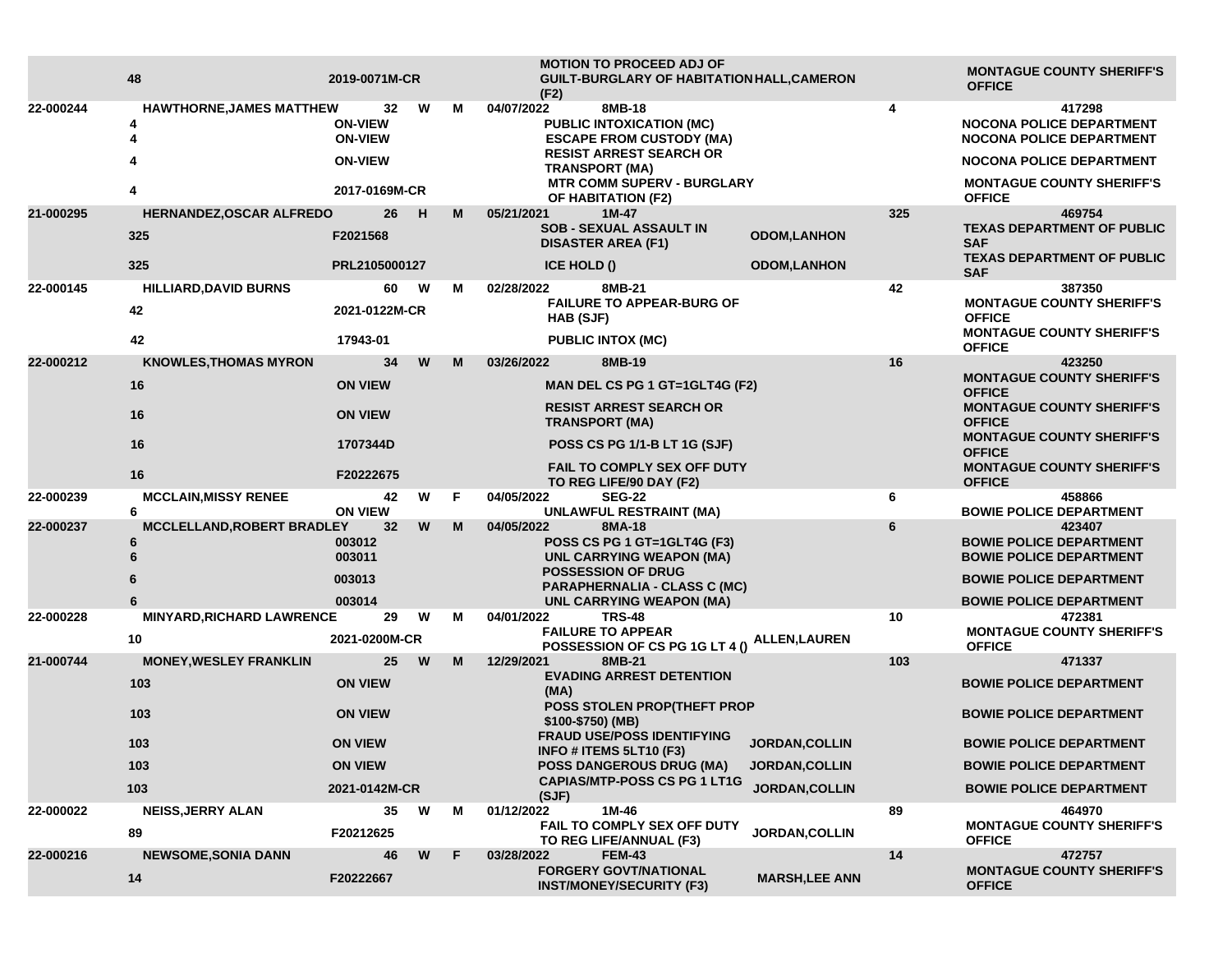|           | 48                                     | 2019-0071M-CR                    |         |    | <b>MOTION TO PROCEED ADJ OF</b><br>GUILT-BURGLARY OF HABITATION HALL, CAMERON<br>(F2)                              |                       |     | <b>MONTAGUE COUNTY SHERIFF'S</b><br><b>OFFICE</b>                                     |
|-----------|----------------------------------------|----------------------------------|---------|----|--------------------------------------------------------------------------------------------------------------------|-----------------------|-----|---------------------------------------------------------------------------------------|
| 22-000244 | HAWTHORNE, JAMES MATTHEW<br>4<br>4     | <b>ON-VIEW</b><br><b>ON-VIEW</b> | W<br>32 | м  | 04/07/2022<br>8MB-18<br><b>PUBLIC INTOXICATION (MC)</b><br><b>ESCAPE FROM CUSTODY (MA)</b>                         |                       | 4   | 417298<br><b>NOCONA POLICE DEPARTMENT</b><br><b>NOCONA POLICE DEPARTMENT</b>          |
|           |                                        | <b>ON-VIEW</b><br>2017-0169M-CR  |         |    | <b>RESIST ARREST SEARCH OR</b><br><b>TRANSPORT (MA)</b><br><b>MTR COMM SUPERV - BURGLARY</b><br>OF HABITATION (F2) |                       |     | <b>NOCONA POLICE DEPARTMENT</b>                                                       |
|           | 4                                      |                                  |         |    |                                                                                                                    |                       |     | <b>MONTAGUE COUNTY SHERIFF'S</b><br><b>OFFICE</b>                                     |
| 21-000295 | <b>HERNANDEZ,OSCAR ALFREDO</b>         |                                  | 26<br>H | M  | 05/21/2021<br>1M-47<br>SOB - SEXUAL ASSAULT IN                                                                     |                       | 325 | 469754<br><b>TEXAS DEPARTMENT OF PUBLIC</b>                                           |
|           | 325                                    | F2021568                         |         |    | <b>DISASTER AREA (F1)</b>                                                                                          | <b>ODOM,LANHON</b>    |     | <b>SAF</b>                                                                            |
|           | 325                                    | PRL2105000127                    |         |    | <b>ICE HOLD ()</b>                                                                                                 | <b>ODOM,LANHON</b>    |     | <b>TEXAS DEPARTMENT OF PUBLIC</b><br><b>SAF</b>                                       |
| 22-000145 | <b>HILLIARD, DAVID BURNS</b>           |                                  | 60<br>W | м  | 8MB-21<br>02/28/2022                                                                                               |                       | 42  | 387350                                                                                |
|           | 42                                     | 2021-0122M-CR                    |         |    | <b>FAILURE TO APPEAR-BURG OF</b><br>HAB (SJF)                                                                      |                       |     | <b>MONTAGUE COUNTY SHERIFF'S</b><br><b>OFFICE</b><br><b>MONTAGUE COUNTY SHERIFF'S</b> |
|           | 42                                     | 17943-01                         |         |    | <b>PUBLIC INTOX (MC)</b>                                                                                           |                       |     | <b>OFFICE</b>                                                                         |
| 22-000212 | <b>KNOWLES, THOMAS MYRON</b>           |                                  | 34<br>W | M  | 03/26/2022<br>8MB-19                                                                                               |                       | 16  | 423250                                                                                |
|           | 16                                     | <b>ON VIEW</b>                   |         |    | MAN DEL CS PG 1 GT=1GLT4G (F2)                                                                                     |                       |     | <b>MONTAGUE COUNTY SHERIFF'S</b><br><b>OFFICE</b>                                     |
|           | 16                                     | <b>ON VIEW</b>                   |         |    | <b>RESIST ARREST SEARCH OR</b><br><b>TRANSPORT (MA)</b>                                                            |                       |     | <b>MONTAGUE COUNTY SHERIFF'S</b><br><b>OFFICE</b>                                     |
|           | 16                                     | 1707344D                         |         |    | POSS CS PG 1/1-B LT 1G (SJF)                                                                                       |                       |     | <b>MONTAGUE COUNTY SHERIFF'S</b><br><b>OFFICE</b>                                     |
|           | 16                                     | F20222675                        |         |    | <b>FAIL TO COMPLY SEX OFF DUTY</b><br>TO REG LIFE/90 DAY (F2)                                                      |                       |     | <b>MONTAGUE COUNTY SHERIFF'S</b><br><b>OFFICE</b>                                     |
| 22-000239 | <b>MCCLAIN, MISSY RENEE</b><br>6       | <b>ON VIEW</b>                   | W<br>42 | F. | 04/05/2022<br><b>SEG-22</b><br><b>UNLAWFUL RESTRAINT (MA)</b>                                                      |                       | 6   | 458866<br><b>BOWIE POLICE DEPARTMENT</b>                                              |
| 22-000237 | <b>MCCLELLAND, ROBERT BRADLEY</b>      |                                  | 32<br>W | M  | 04/05/2022<br>8MA-18                                                                                               |                       | 6   | 423407                                                                                |
|           | 6<br>6                                 | 003012<br>003011                 |         |    | POSS CS PG 1 GT=1GLT4G (F3)<br>UNL CARRYING WEAPON (MA)                                                            |                       |     | <b>BOWIE POLICE DEPARTMENT</b><br><b>BOWIE POLICE DEPARTMENT</b>                      |
|           | 6                                      | 003013                           |         |    | <b>POSSESSION OF DRUG</b><br>PARAPHERNALIA - CLASS C (MC)                                                          |                       |     | <b>BOWIE POLICE DEPARTMENT</b>                                                        |
|           |                                        | 003014                           |         |    | <b>UNL CARRYING WEAPON (MA)</b>                                                                                    |                       |     | <b>BOWIE POLICE DEPARTMENT</b>                                                        |
| 22-000228 | <b>MINYARD, RICHARD LAWRENCE</b><br>10 | 2021-0200M-CR                    | 29<br>W | M  | 04/01/2022<br><b>TRS-48</b><br><b>FAILURE TO APPEAR</b><br>POSSESSION OF CS PG 1G LT 4 ()                          | ALLEN,LAUREN          | 10  | 472381<br><b>MONTAGUE COUNTY SHERIFF'S</b><br><b>OFFICE</b>                           |
| 21-000744 | <b>MONEY, WESLEY FRANKLIN</b>          |                                  | 25<br>W | M  | 12/29/2021<br>8MB-21                                                                                               |                       | 103 | 471337                                                                                |
|           | 103                                    | <b>ON VIEW</b>                   |         |    | <b>EVADING ARREST DETENTION</b><br>(MA)                                                                            |                       |     | <b>BOWIE POLICE DEPARTMENT</b>                                                        |
|           | 103                                    | <b>ON VIEW</b>                   |         |    | <b>POSS STOLEN PROP(THEFT PROP</b><br>\$100-\$750) (MB)                                                            |                       |     | <b>BOWIE POLICE DEPARTMENT</b>                                                        |
|           | 103                                    | <b>ON VIEW</b>                   |         |    | <b>FRAUD USE/POSS IDENTIFYING</b><br>INFO # ITEMS 5LT10 (F3)                                                       | JORDAN, COLLIN        |     | <b>BOWIE POLICE DEPARTMENT</b>                                                        |
|           | 103                                    | <b>ON VIEW</b>                   |         |    | <b>POSS DANGEROUS DRUG (MA)</b>                                                                                    | <b>JORDAN, COLLIN</b> |     | <b>BOWIE POLICE DEPARTMENT</b>                                                        |
|           | 103                                    | 2021-0142M-CR                    |         |    | <b>CAPIAS/MTP-POSS CS PG 1 LT1G</b><br>(SJF)                                                                       | JORDAN, COLLIN        |     | <b>BOWIE POLICE DEPARTMENT</b>                                                        |
| 22-000022 | <b>NEISS, JERRY ALAN</b>               |                                  | 35<br>W | м  | 01/12/2022<br>1M-46                                                                                                |                       | 89  | 464970                                                                                |
|           | 89                                     | F20212625                        |         |    | FAIL TO COMPLY SEX OFF DUTY<br>TO REG LIFE/ANNUAL (F3)                                                             | <b>JORDAN, COLLIN</b> |     | <b>MONTAGUE COUNTY SHERIFF'S</b><br><b>OFFICE</b>                                     |
| 22-000216 | <b>NEWSOME, SONIA DANN</b>             |                                  | 46<br>W | F  | 03/28/2022<br><b>FEM-43</b>                                                                                        |                       | 14  | 472757                                                                                |
|           | 14                                     | F20222667                        |         |    | <b>FORGERY GOVT/NATIONAL</b><br><b>INST/MONEY/SECURITY (F3)</b>                                                    | <b>MARSH, LEE ANN</b> |     | <b>MONTAGUE COUNTY SHERIFF'S</b><br><b>OFFICE</b>                                     |